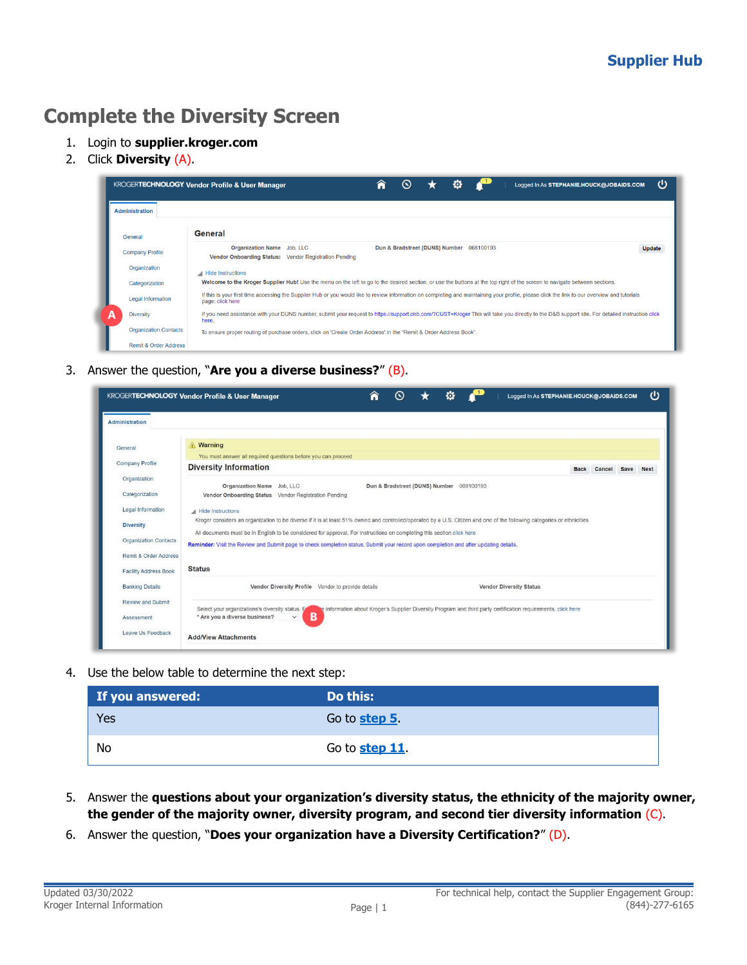## **Complete the Diversity Screen**

- 1. Login to **supplier.kroger.com**
- 2. Click **Diversity** (A).

|                          |                                  | <b>KROGERTECHNOLOGY Vendor Profile &amp; User Manager</b>                                                                                                                                                         | ⋒<br>$\infty$ |                                          | o | Logged In As STEPHANIE.HOUCK@JOBAIDS.COM | ወ             |  |
|--------------------------|----------------------------------|-------------------------------------------------------------------------------------------------------------------------------------------------------------------------------------------------------------------|---------------|------------------------------------------|---|------------------------------------------|---------------|--|
| <b>Administration</b>    |                                  |                                                                                                                                                                                                                   |               |                                          |   |                                          |               |  |
| General                  |                                  | General                                                                                                                                                                                                           |               |                                          |   |                                          |               |  |
| <b>Company Profile</b>   |                                  | <b>Organization Name</b> Job, LLC<br>Vendor Onboarding Status: Vendor Registration Pending                                                                                                                        |               | Dun & Bradstreet (DUNS) Number 068100193 |   |                                          | <b>Update</b> |  |
| Organization             |                                  | Hide Instructions                                                                                                                                                                                                 |               |                                          |   |                                          |               |  |
| Categorization           |                                  | Welcome to the Kroger Supplier Hub! Use the menu on the left to go to the desired section, or use the buttons at the top right of the screen to navigate between sections.                                        |               |                                          |   |                                          |               |  |
| <b>Legal Information</b> |                                  | If this is your first time accessing the Supplier Hub or you would like to review information on completing and maintaining your profile, please click the link to our overview and tutorials<br>page: click here |               |                                          |   |                                          |               |  |
| <b>Diversity</b>         |                                  | If you need assistance with your DUNS number, submit your request to https://support.dnb.com/?CUST=Kroger This will take you directly to the D&B support site. For detailed instruction click<br>here.            |               |                                          |   |                                          |               |  |
|                          | <b>Organization Contacts</b>     | To ensure proper routing of purchase orders, click on 'Create Order Address' in the "Remit & Order Address Book".                                                                                                 |               |                                          |   |                                          |               |  |
|                          | <b>Remit &amp; Order Address</b> |                                                                                                                                                                                                                   |               |                                          |   |                                          |               |  |

3. Answer the question, "**Are you a diverse business?**" (B).

|                                   | ወ<br><b>KROGERTECHNOLOGY Vendor Profile &amp; User Manager</b><br>Logged In As STEPHANIE.HOUCK@JOBAIDS.COM                                                                                                                                                                                        |
|-----------------------------------|---------------------------------------------------------------------------------------------------------------------------------------------------------------------------------------------------------------------------------------------------------------------------------------------------|
| Administration                    |                                                                                                                                                                                                                                                                                                   |
| General<br><b>Company Profile</b> | <b>Warning</b><br>You must answer all required questions before you can proceed                                                                                                                                                                                                                   |
| Organization                      | <b>Diversity Information</b><br>Cancel Save<br><b>Back</b><br><b>Next</b>                                                                                                                                                                                                                         |
| Categorization                    | Organization Name Job, LLC<br>Dun & Bradstreet (DUNS) Number 068100193<br>Vendor Onboarding Status Vendor Registration Pending                                                                                                                                                                    |
| Legal Information                 | Hide Instructions                                                                                                                                                                                                                                                                                 |
| <b>Diversity</b>                  | Kroger considers an organization to be diverse if it is at least 51% owned and controlled/operated by a U.S. Citizen and one of the following categories or ethnicities<br>All documents must be in English to be considered for approval. For instructions on completing this section click here |
| <b>Organization Contacts</b>      | Reminder: Visit the Review and Submit page to check completion status. Submit your record upon completion and after updating details.                                                                                                                                                             |
| Remit & Order Address             |                                                                                                                                                                                                                                                                                                   |
| <b>Facility Address Book</b>      | <b>Status</b>                                                                                                                                                                                                                                                                                     |
| <b>Banking Details</b>            | Vendor Diversity Profile Vendor to provide details<br><b>Vendor Diversity Status</b>                                                                                                                                                                                                              |
| <b>Review and Submit</b>          | Select your organizations's diversity status. F<br>le information about Kroger's Supplier Diversity Program and third party certification requirements, click here                                                                                                                                |
| Assessment                        | B<br>* Are you a diverse business?<br>$\checkmark$                                                                                                                                                                                                                                                |
| Leave Us Feedback                 | <b>Add/View Attachments</b>                                                                                                                                                                                                                                                                       |

4. Use the below table to determine the next step:

| If you answered: | Do this:       |
|------------------|----------------|
| Yes              | Go to step 5.  |
| No               | Go to step 11. |

- <span id="page-0-0"></span>5. Answer the **questions about your organization's diversity status, the ethnicity of the majority owner, the gender of the majority owner, diversity program, and second tier diversity information** (C).
- 6. Answer the question, "**Does your organization have a Diversity Certification?**" (D).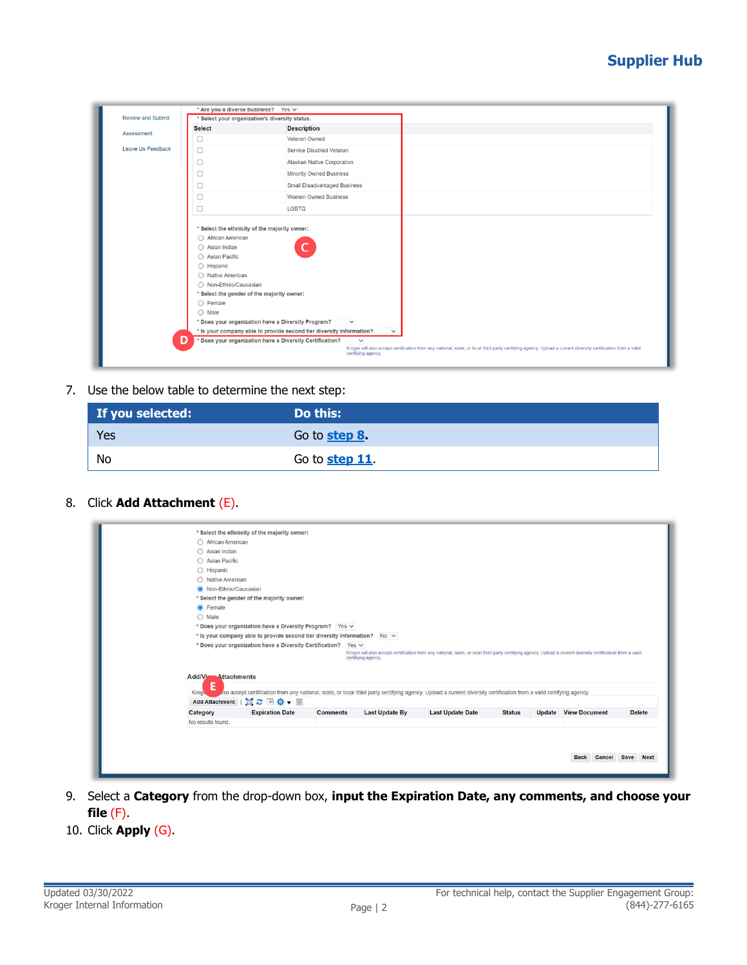## **Supplier Hub**

| <b>Review and Submit</b> | * Are you a diverse business? Yes v                                                                                      |                                                                      |                                    |  |                                                                                                                                                               |  |
|--------------------------|--------------------------------------------------------------------------------------------------------------------------|----------------------------------------------------------------------|------------------------------------|--|---------------------------------------------------------------------------------------------------------------------------------------------------------------|--|
|                          |                                                                                                                          | * Select your organization's diversity status.                       |                                    |  |                                                                                                                                                               |  |
| Assessment               | <b>Select</b>                                                                                                            | <b>Description</b>                                                   |                                    |  |                                                                                                                                                               |  |
|                          | □                                                                                                                        | Veteran Owned                                                        |                                    |  |                                                                                                                                                               |  |
| Leave Us Feedback        | $\Box$                                                                                                                   | Service Disabled Veteran                                             |                                    |  |                                                                                                                                                               |  |
|                          | □                                                                                                                        | Alaskan Native Corporation                                           |                                    |  |                                                                                                                                                               |  |
|                          | □                                                                                                                        | <b>Minority Owned Business</b>                                       |                                    |  |                                                                                                                                                               |  |
|                          | □                                                                                                                        | <b>Small Disadvantaged Business</b>                                  |                                    |  |                                                                                                                                                               |  |
|                          | $\Box$                                                                                                                   | <b>Women Owned Business</b>                                          |                                    |  |                                                                                                                                                               |  |
|                          | □                                                                                                                        | <b>LGBTQ</b>                                                         |                                    |  |                                                                                                                                                               |  |
|                          | $\bigcap$ Asian Indian<br>$\bigcirc$ Asian Pacific<br>$\bigcirc$ Hispanic<br>◯ Native American<br>◯ Non-Ethnic/Caucasian | * Select the gender of the majority owner:                           |                                    |  |                                                                                                                                                               |  |
|                          | $\bigcirc$ Female<br>$\bigcirc$ Male                                                                                     |                                                                      |                                    |  |                                                                                                                                                               |  |
|                          |                                                                                                                          | * Does your organization have a Diversity Program?                   | $\checkmark$                       |  |                                                                                                                                                               |  |
|                          |                                                                                                                          | * Is your company able to provide second tier diversity information? | $\checkmark$                       |  |                                                                                                                                                               |  |
|                          | D                                                                                                                        | * Does your organization have a Diversity Certification?             | $\checkmark$<br>certifying agency. |  | Kroger will also accept certification from any national, state, or local third party certifying agency. Upload a current diversity certification from a valid |  |

7. Use the below table to determine the next step:

| If you selected: | Do this:       |
|------------------|----------------|
| Yes              | Go to step 8   |
| No               | Go to step 11. |

<span id="page-1-0"></span>8. Click **Add Attachment** (E).

| ○ African American                | * Select the ethnicity of the majority owner:                             |                 |                       |                                                                                                                                                                     |               |                             |               |
|-----------------------------------|---------------------------------------------------------------------------|-----------------|-----------------------|---------------------------------------------------------------------------------------------------------------------------------------------------------------------|---------------|-----------------------------|---------------|
| $\bigcap$ Asian Indian            |                                                                           |                 |                       |                                                                                                                                                                     |               |                             |               |
| ○ Asian Pacific                   |                                                                           |                 |                       |                                                                                                                                                                     |               |                             |               |
| $\bigcirc$ Hispanic               |                                                                           |                 |                       |                                                                                                                                                                     |               |                             |               |
| ○ Native American                 |                                                                           |                 |                       |                                                                                                                                                                     |               |                             |               |
| O Non-Ethnic/Caucasian            |                                                                           |                 |                       |                                                                                                                                                                     |               |                             |               |
|                                   | * Select the gender of the majority owner:                                |                 |                       |                                                                                                                                                                     |               |                             |               |
| <b>O</b> Female                   |                                                                           |                 |                       |                                                                                                                                                                     |               |                             |               |
| $O$ Male                          |                                                                           |                 |                       |                                                                                                                                                                     |               |                             |               |
|                                   | * Does your organization have a Diversity Program? Yes v                  |                 |                       |                                                                                                                                                                     |               |                             |               |
|                                   | * Is your company able to provide second tier diversity information? No v |                 |                       |                                                                                                                                                                     |               |                             |               |
|                                   |                                                                           |                 | certifying agency.    | Kroger will also accept certification from any national, state, or local third party certifying agency. Upload a current diversity certification from a valid       |               |                             |               |
| <b>Add/View Attachments</b>       |                                                                           |                 |                       |                                                                                                                                                                     |               |                             |               |
| E                                 |                                                                           |                 |                       |                                                                                                                                                                     |               |                             |               |
| Kroge -                           |                                                                           |                 |                       | aso accept certification from any national, state, or local third party certifying agency. Upload a current diversity certification from a valid certifying agency. |               |                             |               |
| <b>Add Attachment</b><br>Category | ■ 記念画像▼ 画<br><b>Expiration Date</b>                                       | <b>Comments</b> | <b>Last Update By</b> | <b>Last Update Date</b>                                                                                                                                             | <b>Status</b> | <b>Update View Document</b> | <b>Delete</b> |

- 9. Select a **Category** from the drop-down box, **input the Expiration Date, any comments, and choose your file** (F).
- 10. Click **Apply** (G).